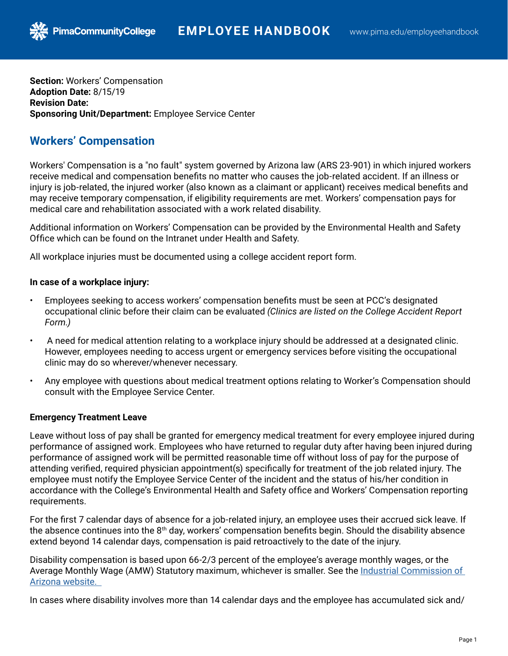**Section:** Workers' Compensation **Adoption Date:** 8/15/19 **Revision Date: Sponsoring Unit/Department:** Employee Service Center

## **Workers' Compensation**

**PimaCommunityCollege** 

Workers' Compensation is a "no fault" system governed by Arizona law (ARS 23-901) in which injured workers receive medical and compensation benefits no matter who causes the job-related accident. If an illness or injury is job-related, the injured worker (also known as a claimant or applicant) receives medical benefits and may receive temporary compensation, if eligibility requirements are met. Workers' compensation pays for medical care and rehabilitation associated with a work related disability.

Additional information on Workers' Compensation can be provided by the Environmental Health and Safety Office which can be found on the Intranet under Health and Safety.

All workplace injuries must be documented using a college accident report form.

## **In case of a workplace injury:**

- Employees seeking to access workers' compensation benefits must be seen at PCC's designated occupational clinic before their claim can be evaluated *(Clinics are listed on the College Accident Report Form.)*
- A need for medical attention relating to a workplace injury should be addressed at a designated clinic. However, employees needing to access urgent or emergency services before visiting the occupational clinic may do so wherever/whenever necessary.
- Any employee with questions about medical treatment options relating to Worker's Compensation should consult with the Employee Service Center.

## **Emergency Treatment Leave**

Leave without loss of pay shall be granted for emergency medical treatment for every employee injured during performance of assigned work. Employees who have returned to regular duty after having been injured during performance of assigned work will be permitted reasonable time off without loss of pay for the purpose of attending verified, required physician appointment(s) specifically for treatment of the job related injury. The employee must notify the Employee Service Center of the incident and the status of his/her condition in accordance with the College's Environmental Health and Safety office and Workers' Compensation reporting requirements.

For the first 7 calendar days of absence for a job-related injury, an employee uses their accrued sick leave. If the absence continues into the  $8<sup>th</sup>$  day, workers' compensation benefits begin. Should the disability absence extend beyond 14 calendar days, compensation is paid retroactively to the date of the injury.

Disability compensation is based upon 66-2/3 percent of the employee's average monthly wages, or the Average Monthly [W](https://www.azica.gov/claims-amw-statutory-maximum-information-page)age (AMW) Statutory maximum, whichever is smaller. [See the](https://www.azica.gov/claims-amw-statutory-maximum-information-page) Industrial Commission of [Arizona website.](https://www.azica.gov/claims-amw-statutory-maximum-information-page) 

In cases where disability involves more than 14 calendar days and the employee has accumulated sick and/